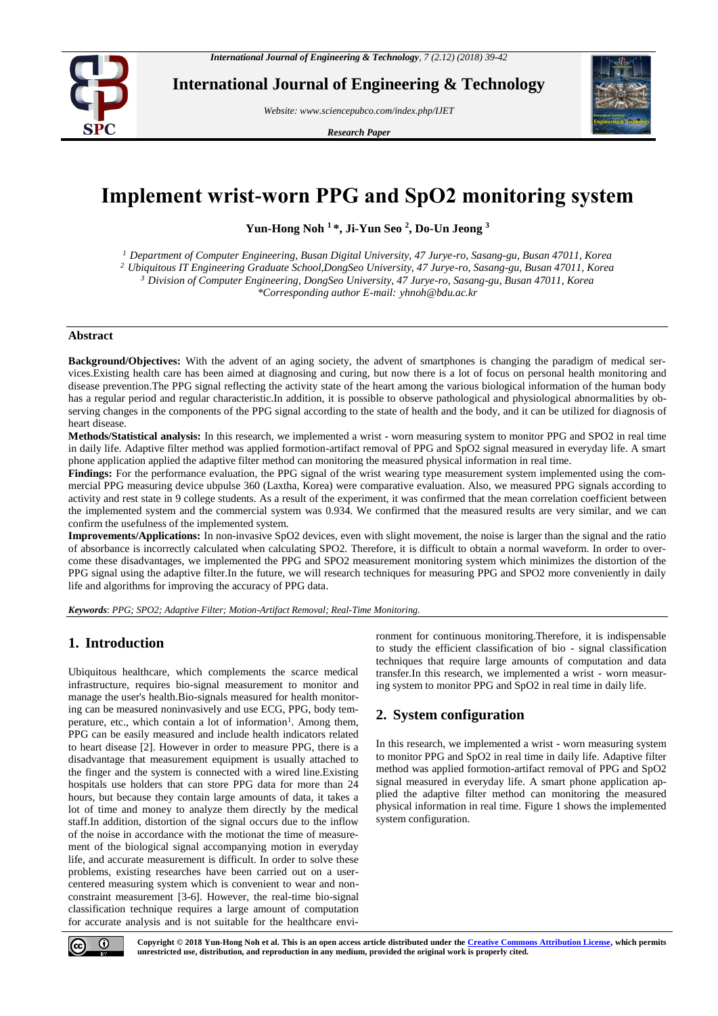

**International Journal of Engineering & Technology**

*Website: www.sciencepubco.com/index.php/IJET*

*Research Paper*



# **Implement wrist-worn PPG and SpO2 monitoring system**

**Yun-Hong Noh <sup>1</sup> \*, Ji-Yun Seo <sup>2</sup> , Do-Un Jeong <sup>3</sup>**

*<sup>1</sup> Department of Computer Engineering, Busan Digital University, 47 Jurye-ro, Sasang-gu, Busan 47011, Korea* 

*<sup>2</sup> Ubiquitous IT Engineering Graduate School,DongSeo University, 47 Jurye-ro, Sasang-gu, Busan 47011, Korea* 

*<sup>3</sup> Division of Computer Engineering, DongSeo University, 47 Jurye-ro, Sasang-gu, Busan 47011, Korea*

*\*Corresponding author E-mail: yhnoh@bdu.ac.kr*

### **Abstract**

**Background/Objectives:** With the advent of an aging society, the advent of smartphones is changing the paradigm of medical services.Existing health care has been aimed at diagnosing and curing, but now there is a lot of focus on personal health monitoring and disease prevention.The PPG signal reflecting the activity state of the heart among the various biological information of the human body has a regular period and regular characteristic.In addition, it is possible to observe pathological and physiological abnormalities by observing changes in the components of the PPG signal according to the state of health and the body, and it can be utilized for diagnosis of heart disease.

**Methods/Statistical analysis:** In this research, we implemented a wrist - worn measuring system to monitor PPG and SPO2 in real time in daily life. Adaptive filter method was applied formotion-artifact removal of PPG and SpO2 signal measured in everyday life. A smart phone application applied the adaptive filter method can monitoring the measured physical information in real time.

Findings: For the performance evaluation, the PPG signal of the wrist wearing type measurement system implemented using the commercial PPG measuring device ubpulse 360 (Laxtha, Korea) were comparative evaluation. Also, we measured PPG signals according to activity and rest state in 9 college students. As a result of the experiment, it was confirmed that the mean correlation coefficient between the implemented system and the commercial system was 0.934. We confirmed that the measured results are very similar, and we can confirm the usefulness of the implemented system.

**Improvements/Applications:** In non-invasive SpO2 devices, even with slight movement, the noise is larger than the signal and the ratio of absorbance is incorrectly calculated when calculating SPO2. Therefore, it is difficult to obtain a normal waveform. In order to overcome these disadvantages, we implemented the PPG and SPO2 measurement monitoring system which minimizes the distortion of the PPG signal using the adaptive filter.In the future, we will research techniques for measuring PPG and SPO2 more conveniently in daily life and algorithms for improving the accuracy of PPG data.

*Keywords*: *PPG; SPO2; Adaptive Filter; Motion-Artifact Removal; Real-Time Monitoring.*

## **1. Introduction**

Ubiquitous healthcare, which complements the scarce medical infrastructure, requires bio-signal measurement to monitor and manage the user's health.Bio-signals measured for health monitoring can be measured noninvasively and use ECG, PPG, body temperature, etc., which contain a lot of information<sup>1</sup>. Among them, PPG can be easily measured and include health indicators related to heart disease [2]. However in order to measure PPG, there is a disadvantage that measurement equipment is usually attached to the finger and the system is connected with a wired line.Existing hospitals use holders that can store PPG data for more than 24 hours, but because they contain large amounts of data, it takes a lot of time and money to analyze them directly by the medical staff.In addition, distortion of the signal occurs due to the inflow of the noise in accordance with the motionat the time of measurement of the biological signal accompanying motion in everyday life, and accurate measurement is difficult. In order to solve these problems, existing researches have been carried out on a usercentered measuring system which is convenient to wear and nonconstraint measurement [3-6]. However, the real-time bio-signal classification technique requires a large amount of computation for accurate analysis and is not suitable for the healthcare environment for continuous monitoring.Therefore, it is indispensable to study the efficient classification of bio - signal classification techniques that require large amounts of computation and data transfer.In this research, we implemented a wrist - worn measuring system to monitor PPG and SpO2 in real time in daily life.

## **2. System configuration**

In this research, we implemented a wrist - worn measuring system to monitor PPG and SpO2 in real time in daily life. Adaptive filter method was applied formotion-artifact removal of PPG and SpO2 signal measured in everyday life. A smart phone application applied the adaptive filter method can monitoring the measured physical information in real time. Figure 1 shows the implemented system configuration.



**Copyright © 2018 Yun-Hong Noh et al. This is an open access article distributed under the [Creative Commons Attribution License,](http://creativecommons.org/licenses/by/3.0/) which permits unrestricted use, distribution, and reproduction in any medium, provided the original work is properly cited.**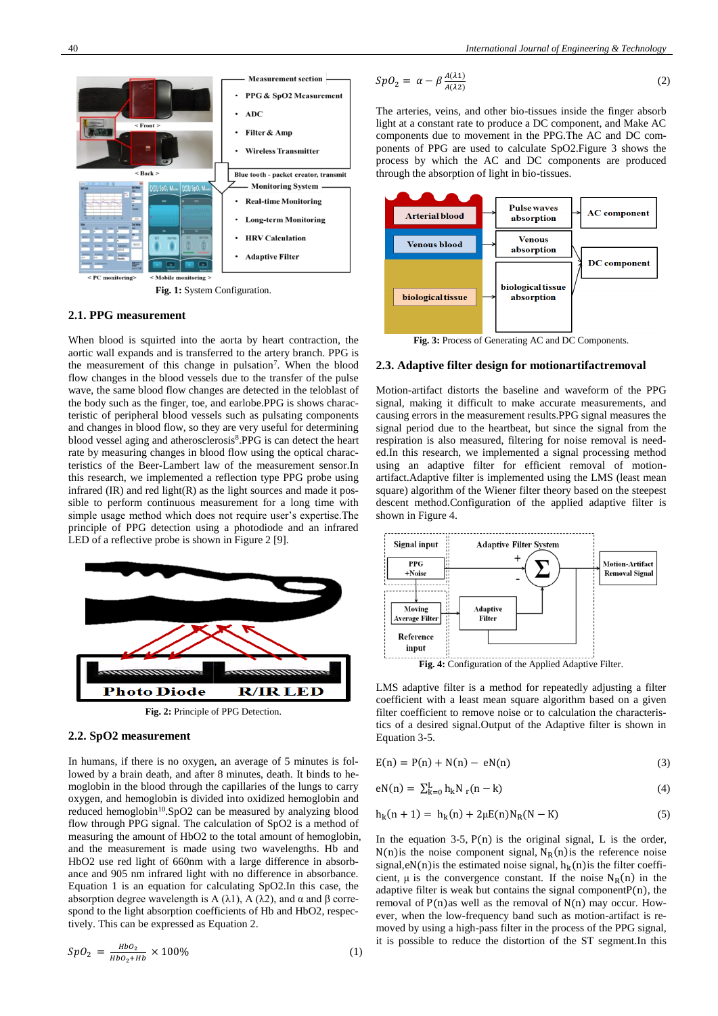

**Fig. 1:** System Configuration.

#### **2.1. PPG measurement**

When blood is squirted into the aorta by heart contraction, the aortic wall expands and is transferred to the artery branch. PPG is the measurement of this change in pulsation<sup>7</sup>. When the blood flow changes in the blood vessels due to the transfer of the pulse wave, the same blood flow changes are detected in the teloblast of the body such as the finger, toe, and earlobe.PPG is shows characteristic of peripheral blood vessels such as pulsating components and changes in blood flow, so they are very useful for determining blood vessel aging and atherosclerosis<sup>8</sup>.PPG is can detect the heart rate by measuring changes in blood flow using the optical characteristics of the Beer-Lambert law of the measurement sensor.In this research, we implemented a reflection type PPG probe using infrared  $(IR)$  and red light $(R)$  as the light sources and made it possible to perform continuous measurement for a long time with simple usage method which does not require user's expertise.The principle of PPG detection using a photodiode and an infrared LED of a reflective probe is shown in Figure 2 [9].



**Fig. 2:** Principle of PPG Detection.

#### **2.2. SpO2 measurement**

In humans, if there is no oxygen, an average of 5 minutes is followed by a brain death, and after 8 minutes, death. It binds to hemoglobin in the blood through the capillaries of the lungs to carry oxygen, and hemoglobin is divided into oxidized hemoglobin and reduced hemoglobin<sup>10</sup>.SpO2 can be measured by analyzing blood flow through PPG signal. The calculation of SpO2 is a method of measuring the amount of HbO2 to the total amount of hemoglobin, and the measurement is made using two wavelengths. Hb and HbO2 use red light of 660nm with a large difference in absorbance and 905 nm infrared light with no difference in absorbance. Equation 1 is an equation for calculating SpO2.In this case, the absorption degree wavelength is A  $(λ1)$ , A  $(λ2)$ , and  $α$  and  $β$  correspond to the light absorption coefficients of Hb and HbO2, respectively. This can be expressed as Equation 2.

$$
SpO_2 = \frac{HbO_2}{HbO_2 + Hb} \times 100\%
$$
 (1)

$$
SpO_2 = \alpha - \beta \frac{A(\lambda 1)}{A(\lambda 2)}\tag{2}
$$

The arteries, veins, and other bio-tissues inside the finger absorb light at a constant rate to produce a DC component, and Make AC components due to movement in the PPG.The AC and DC components of PPG are used to calculate SpO2.Figure 3 shows the process by which the AC and DC components are produced through the absorption of light in bio-tissues.



**Fig. 3:** Process of Generating AC and DC Components.

#### **2.3. Adaptive filter design for motionartifactremoval**

Motion-artifact distorts the baseline and waveform of the PPG signal, making it difficult to make accurate measurements, and causing errors in the measurement results.PPG signal measures the signal period due to the heartbeat, but since the signal from the respiration is also measured, filtering for noise removal is needed.In this research, we implemented a signal processing method using an adaptive filter for efficient removal of motionartifact.Adaptive filter is implemented using the LMS (least mean square) algorithm of the Wiener filter theory based on the steepest descent method.Configuration of the applied adaptive filter is shown in Figure 4.



**Fig. 4:** Configuration of the Applied Adaptive Filter.

LMS adaptive filter is a method for repeatedly adjusting a filter coefficient with a least mean square algorithm based on a given filter coefficient to remove noise or to calculation the characteristics of a desired signal.Output of the Adaptive filter is shown in Equation 3-5.

$$
E(n) = P(n) + N(n) - eN(n)
$$
\n(3)

$$
eN(n) = \sum_{k=0}^{L} h_k N_r(n-k)
$$
\n(4)

$$
h_{k}(n+1) = h_{k}(n) + 2\mu E(n)N_{R}(N-K)
$$
\n(5)

In the equation 3-5,  $P(n)$  is the original signal, L is the order,  $N(n)$  is the noise component signal,  $N_R(n)$  is the reference noise signal,eN(n) is the estimated noise signal,  $h_k(n)$  is the filter coefficient,  $\mu$  is the convergence constant. If the noise  $N_R(n)$  in the adaptive filter is weak but contains the signal component $P(n)$ , the removal of  $P(n)$ as well as the removal of  $N(n)$  may occur. However, when the low-frequency band such as motion-artifact is removed by using a high-pass filter in the process of the PPG signal, it is possible to reduce the distortion of the ST segment.In this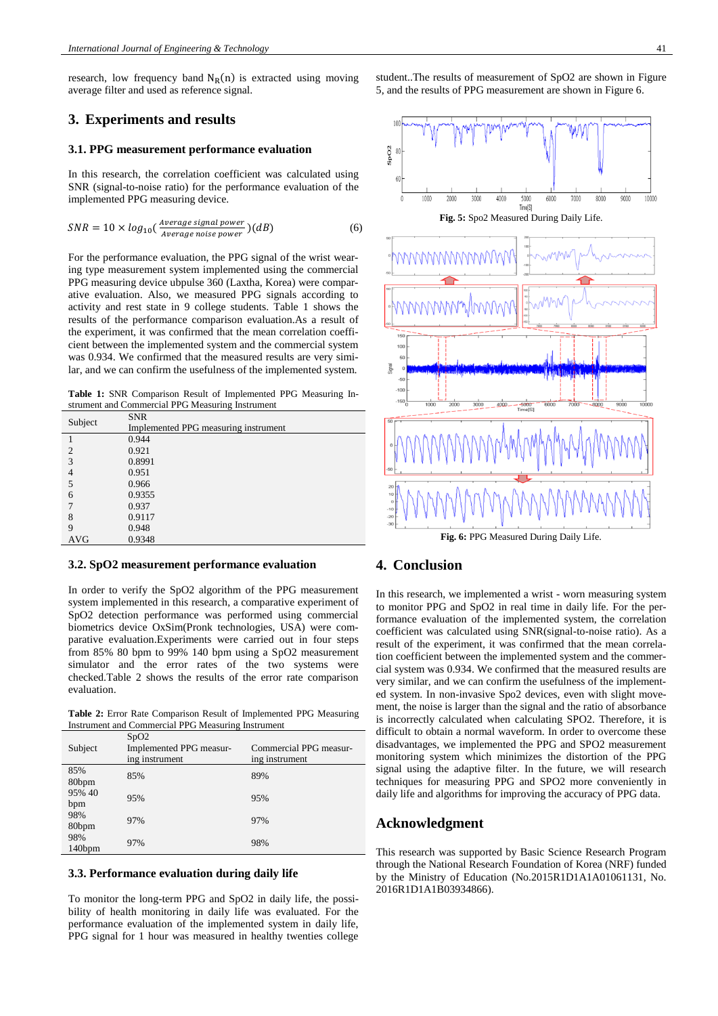research, low frequency band  $N_R(n)$  is extracted using moving average filter and used as reference signal.

## **3. Experiments and results**

#### **3.1. PPG measurement performance evaluation**

In this research, the correlation coefficient was calculated using SNR (signal-to-noise ratio) for the performance evaluation of the implemented PPG measuring device.

$$
SNR = 10 \times log_{10} \left( \frac{average\ signal\ power}{Average\ noise\ power} \right) (dB)
$$
 (6)

For the performance evaluation, the PPG signal of the wrist wearing type measurement system implemented using the commercial PPG measuring device ubpulse 360 (Laxtha, Korea) were comparative evaluation. Also, we measured PPG signals according to activity and rest state in 9 college students. Table 1 shows the results of the performance comparison evaluation.As a result of the experiment, it was confirmed that the mean correlation coefficient between the implemented system and the commercial system was 0.934. We confirmed that the measured results are very similar, and we can confirm the usefulness of the implemented system.

**Table 1:** SNR Comparison Result of Implemented PPG Measuring Instrument and Commercial PPG Measuring Instrument

| Subject        | <b>SNR</b>                           |
|----------------|--------------------------------------|
|                | Implemented PPG measuring instrument |
|                | 0.944                                |
| $\overline{c}$ | 0.921                                |
| 3              | 0.8991                               |
|                | 0.951                                |
| 5              | 0.966                                |
| 6              | 0.9355                               |
|                | 0.937                                |
| 8              | 0.9117                               |
| 9              | 0.948                                |
| <b>AVG</b>     | 0.9348                               |

#### **3.2. SpO2 measurement performance evaluation**

In order to verify the SpO2 algorithm of the PPG measurement system implemented in this research, a comparative experiment of SpO2 detection performance was performed using commercial biometrics device OxSim(Pronk technologies, USA) were comparative evaluation.Experiments were carried out in four steps from 85% 80 bpm to 99% 140 bpm using a SpO2 measurement simulator and the error rates of the two systems were checked.Table 2 shows the results of the error rate comparison evaluation.

**Table 2:** Error Rate Comparison Result of Implemented PPG Measuring Instrument and Commercial PPG Measuring Instrument

| Subject                                                               | SpO2<br>Implemented PPG measur-<br>ing instrument | Commercial PPG measur-<br>ing instrument |
|-----------------------------------------------------------------------|---------------------------------------------------|------------------------------------------|
| 85%<br>80 <sub>bpm</sub><br>95% 40<br>bpm<br>98%<br>80 <sub>bpm</sub> | 85%                                               | 89%                                      |
|                                                                       | 95%                                               | 95%                                      |
|                                                                       | 97%                                               | 97%                                      |
| 98%<br>140bpm                                                         | 97%                                               | 98%                                      |

#### **3.3. Performance evaluation during daily life**

To monitor the long-term PPG and SpO2 in daily life, the possibility of health monitoring in daily life was evaluated. For the performance evaluation of the implemented system in daily life, PPG signal for 1 hour was measured in healthy twenties college student..The results of measurement of SpO2 are shown in Figure 5, and the results of PPG measurement are shown in Figure 6.



**Fig. 6:** PPG Measured During Daily Life.

### **4. Conclusion**

In this research, we implemented a wrist - worn measuring system to monitor PPG and SpO2 in real time in daily life. For the performance evaluation of the implemented system, the correlation coefficient was calculated using SNR(signal-to-noise ratio). As a result of the experiment, it was confirmed that the mean correlation coefficient between the implemented system and the commercial system was 0.934. We confirmed that the measured results are very similar, and we can confirm the usefulness of the implemented system. In non-invasive Spo2 devices, even with slight movement, the noise is larger than the signal and the ratio of absorbance is incorrectly calculated when calculating SPO2. Therefore, it is difficult to obtain a normal waveform. In order to overcome these disadvantages, we implemented the PPG and SPO2 measurement monitoring system which minimizes the distortion of the PPG signal using the adaptive filter. In the future, we will research techniques for measuring PPG and SPO2 more conveniently in daily life and algorithms for improving the accuracy of PPG data.

## **Acknowledgment**

This research was supported by Basic Science Research Program through the National Research Foundation of Korea (NRF) funded by the Ministry of Education (No.2015R1D1A1A01061131, No. 2016R1D1A1B03934866).